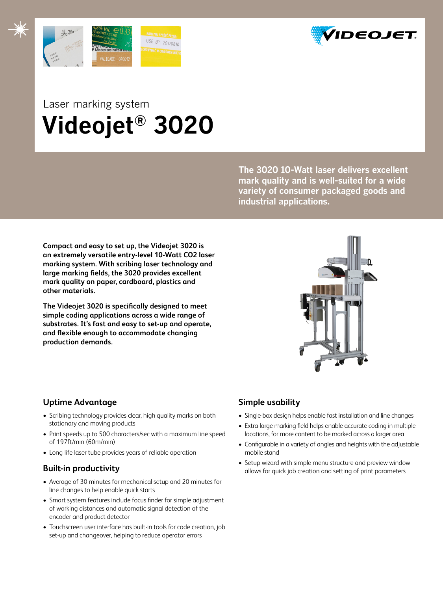



## Laser marking system  **Videojet® 3020**

**The 3020 10-Watt laser delivers excellent mark quality and is well-suited for a wide variety of consumer packaged goods and industrial applications.** 

**Compact and easy to set up, the Videojet 3020 is an extremely versatile entry-level 10-Watt CO2 laser marking system. With scribing laser technology and large marking fields, the 3020 provides excellent mark quality on paper, cardboard, plastics and other materials.**

**The Videojet 3020 is specifically designed to meet simple coding applications across a wide range of substrates. It's fast and easy to set-up and operate, and flexible enough to accommodate changing production demands.**



## **Uptime Advantage**

- Scribing technology provides clear, high quality marks on both stationary and moving products
- Print speeds up to 500 characters/sec with a maximum line speed of 197ft/min (60m/min)
- Long-life laser tube provides years of reliable operation

## **Built-in productivity**

- Average of 30 minutes for mechanical setup and 20 minutes for line changes to help enable quick starts
- Smart system features include focus finder for simple adjustment of working distances and automatic signal detection of the encoder and product detector
- Touchscreen user interface has built-in tools for code creation, job set-up and changeover, helping to reduce operator errors

## **Simple usability**

- Single-box design helps enable fast installation and line changes
- Extra-large marking field helps enable accurate coding in multiple locations, for more content to be marked across a larger area
- Configurable in a variety of angles and heights with the adjustable mobile stand
- Setup wizard with simple menu structure and preview window allows for quick job creation and setting of print parameters